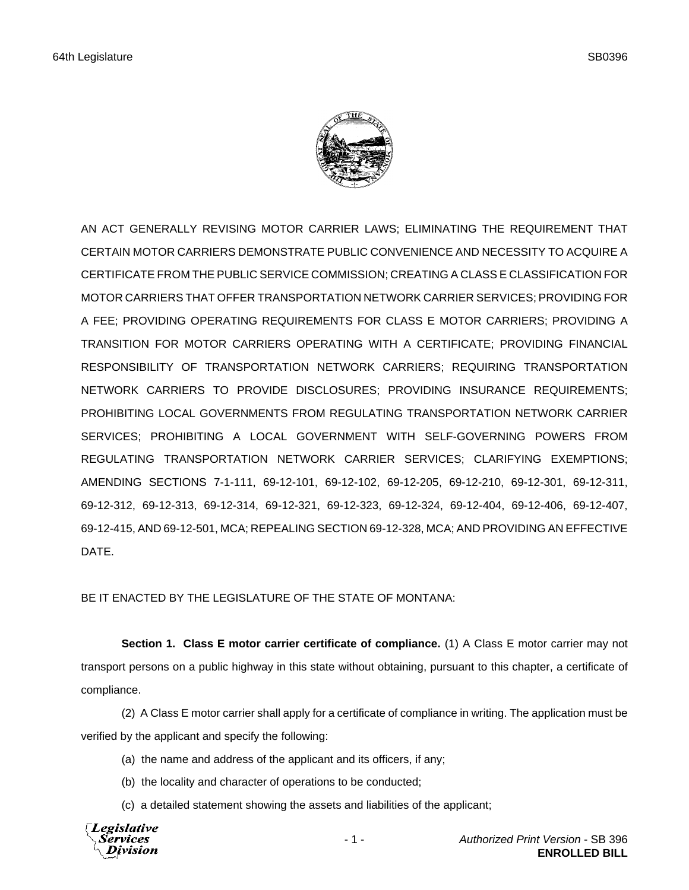

AN ACT GENERALLY REVISING MOTOR CARRIER LAWS; ELIMINATING THE REQUIREMENT THAT CERTAIN MOTOR CARRIERS DEMONSTRATE PUBLIC CONVENIENCE AND NECESSITY TO ACQUIRE A CERTIFICATE FROM THE PUBLIC SERVICE COMMISSION; CREATING A CLASS E CLASSIFICATION FOR MOTOR CARRIERS THAT OFFER TRANSPORTATION NETWORK CARRIER SERVICES; PROVIDING FOR A FEE; PROVIDING OPERATING REQUIREMENTS FOR CLASS E MOTOR CARRIERS; PROVIDING A TRANSITION FOR MOTOR CARRIERS OPERATING WITH A CERTIFICATE; PROVIDING FINANCIAL RESPONSIBILITY OF TRANSPORTATION NETWORK CARRIERS; REQUIRING TRANSPORTATION NETWORK CARRIERS TO PROVIDE DISCLOSURES; PROVIDING INSURANCE REQUIREMENTS; PROHIBITING LOCAL GOVERNMENTS FROM REGULATING TRANSPORTATION NETWORK CARRIER SERVICES; PROHIBITING A LOCAL GOVERNMENT WITH SELF-GOVERNING POWERS FROM REGULATING TRANSPORTATION NETWORK CARRIER SERVICES; CLARIFYING EXEMPTIONS; AMENDING SECTIONS 7-1-111, 69-12-101, 69-12-102, 69-12-205, 69-12-210, 69-12-301, 69-12-311, 69-12-312, 69-12-313, 69-12-314, 69-12-321, 69-12-323, 69-12-324, 69-12-404, 69-12-406, 69-12-407, 69-12-415, AND 69-12-501, MCA; REPEALING SECTION 69-12-328, MCA; AND PROVIDING AN EFFECTIVE DATE.

BE IT ENACTED BY THE LEGISLATURE OF THE STATE OF MONTANA:

**Section 1. Class E motor carrier certificate of compliance.** (1) A Class E motor carrier may not transport persons on a public highway in this state without obtaining, pursuant to this chapter, a certificate of compliance.

(2) A Class E motor carrier shall apply for a certificate of compliance in writing. The application must be verified by the applicant and specify the following:

- (a) the name and address of the applicant and its officers, if any;
- (b) the locality and character of operations to be conducted;
- (c) a detailed statement showing the assets and liabilities of the applicant;

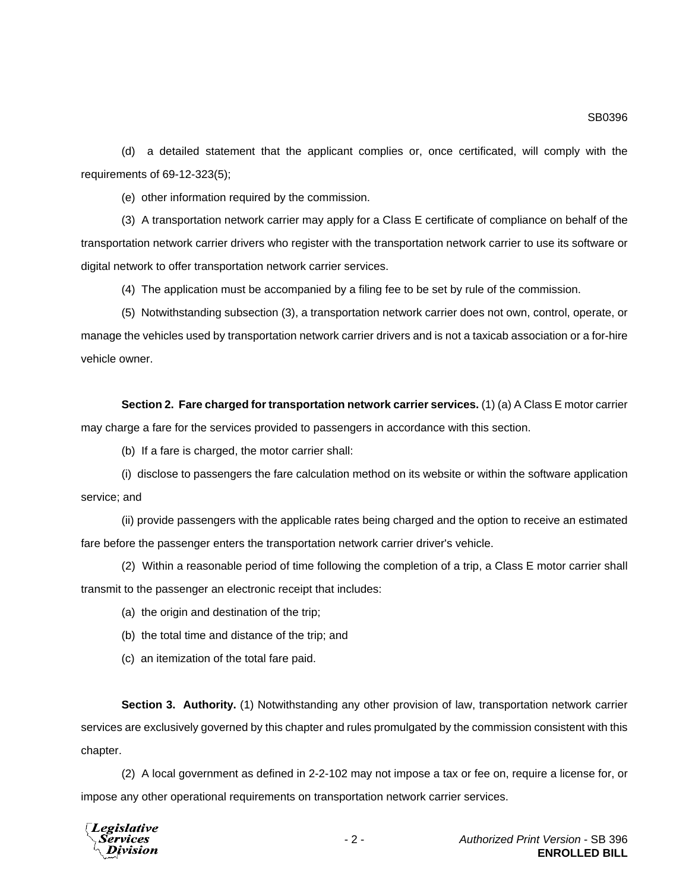(d) a detailed statement that the applicant complies or, once certificated, will comply with the requirements of 69-12-323(5);

(e) other information required by the commission.

(3) A transportation network carrier may apply for a Class E certificate of compliance on behalf of the transportation network carrier drivers who register with the transportation network carrier to use its software or digital network to offer transportation network carrier services.

(4) The application must be accompanied by a filing fee to be set by rule of the commission.

(5) Notwithstanding subsection (3), a transportation network carrier does not own, control, operate, or manage the vehicles used by transportation network carrier drivers and is not a taxicab association or a for-hire vehicle owner.

**Section 2. Fare charged for transportation network carrier services.** (1) (a) A Class E motor carrier may charge a fare for the services provided to passengers in accordance with this section.

(b) If a fare is charged, the motor carrier shall:

(i) disclose to passengers the fare calculation method on its website or within the software application service; and

(ii) provide passengers with the applicable rates being charged and the option to receive an estimated fare before the passenger enters the transportation network carrier driver's vehicle.

(2) Within a reasonable period of time following the completion of a trip, a Class E motor carrier shall transmit to the passenger an electronic receipt that includes:

- (a) the origin and destination of the trip;
- (b) the total time and distance of the trip; and
- (c) an itemization of the total fare paid.

**Section 3. Authority.** (1) Notwithstanding any other provision of law, transportation network carrier services are exclusively governed by this chapter and rules promulgated by the commission consistent with this chapter.

(2) A local government as defined in 2-2-102 may not impose a tax or fee on, require a license for, or impose any other operational requirements on transportation network carrier services.

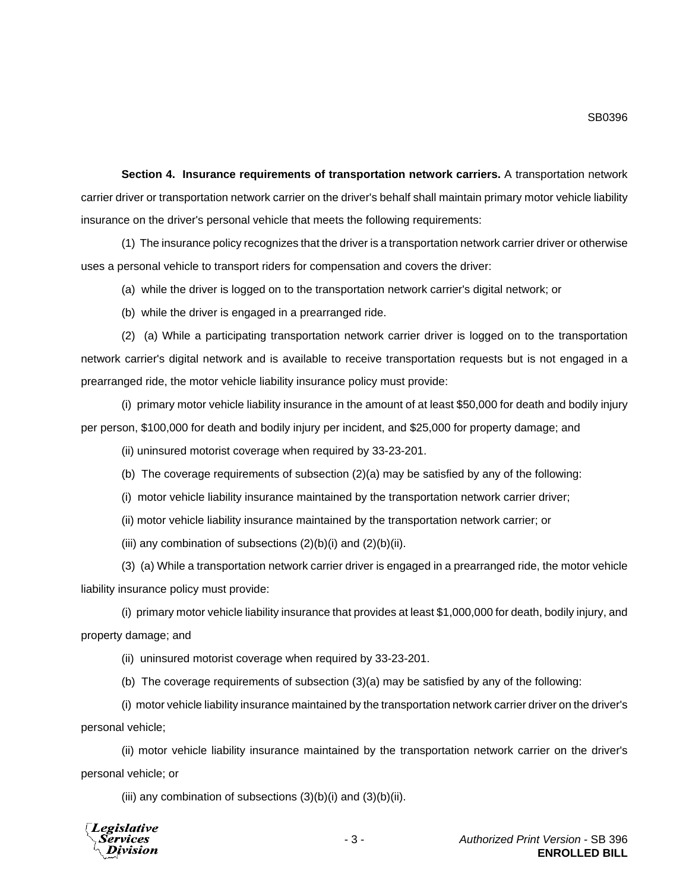**Section 4. Insurance requirements of transportation network carriers.** A transportation network carrier driver or transportation network carrier on the driver's behalf shall maintain primary motor vehicle liability insurance on the driver's personal vehicle that meets the following requirements:

(1) The insurance policy recognizes that the driver is a transportation network carrier driver or otherwise uses a personal vehicle to transport riders for compensation and covers the driver:

(a) while the driver is logged on to the transportation network carrier's digital network; or

(b) while the driver is engaged in a prearranged ride.

(2) (a) While a participating transportation network carrier driver is logged on to the transportation network carrier's digital network and is available to receive transportation requests but is not engaged in a prearranged ride, the motor vehicle liability insurance policy must provide:

(i) primary motor vehicle liability insurance in the amount of at least \$50,000 for death and bodily injury per person, \$100,000 for death and bodily injury per incident, and \$25,000 for property damage; and

(ii) uninsured motorist coverage when required by 33-23-201.

(b) The coverage requirements of subsection  $(2)(a)$  may be satisfied by any of the following:

(i) motor vehicle liability insurance maintained by the transportation network carrier driver;

(ii) motor vehicle liability insurance maintained by the transportation network carrier; or

(iii) any combination of subsections  $(2)(b)(i)$  and  $(2)(b)(ii)$ .

(3) (a) While a transportation network carrier driver is engaged in a prearranged ride, the motor vehicle liability insurance policy must provide:

(i) primary motor vehicle liability insurance that provides at least \$1,000,000 for death, bodily injury, and property damage; and

(ii) uninsured motorist coverage when required by 33-23-201.

(b) The coverage requirements of subsection (3)(a) may be satisfied by any of the following:

(i) motor vehicle liability insurance maintained by the transportation network carrier driver on the driver's personal vehicle;

(ii) motor vehicle liability insurance maintained by the transportation network carrier on the driver's personal vehicle; or

(iii) any combination of subsections  $(3)(b)(i)$  and  $(3)(b)(ii)$ .

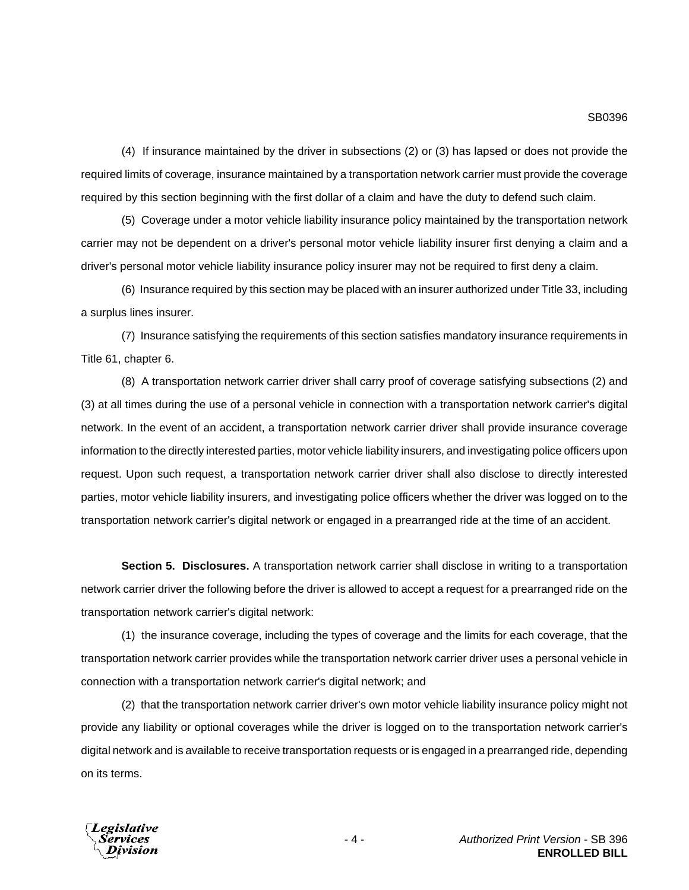(4) If insurance maintained by the driver in subsections (2) or (3) has lapsed or does not provide the required limits of coverage, insurance maintained by a transportation network carrier must provide the coverage required by this section beginning with the first dollar of a claim and have the duty to defend such claim.

(5) Coverage under a motor vehicle liability insurance policy maintained by the transportation network carrier may not be dependent on a driver's personal motor vehicle liability insurer first denying a claim and a driver's personal motor vehicle liability insurance policy insurer may not be required to first deny a claim.

(6) Insurance required by this section may be placed with an insurer authorized under Title 33, including a surplus lines insurer.

(7) Insurance satisfying the requirements of this section satisfies mandatory insurance requirements in Title 61, chapter 6.

(8) A transportation network carrier driver shall carry proof of coverage satisfying subsections (2) and (3) at all times during the use of a personal vehicle in connection with a transportation network carrier's digital network. In the event of an accident, a transportation network carrier driver shall provide insurance coverage information to the directly interested parties, motor vehicle liability insurers, and investigating police officers upon request. Upon such request, a transportation network carrier driver shall also disclose to directly interested parties, motor vehicle liability insurers, and investigating police officers whether the driver was logged on to the transportation network carrier's digital network or engaged in a prearranged ride at the time of an accident.

**Section 5. Disclosures.** A transportation network carrier shall disclose in writing to a transportation network carrier driver the following before the driver is allowed to accept a request for a prearranged ride on the transportation network carrier's digital network:

(1) the insurance coverage, including the types of coverage and the limits for each coverage, that the transportation network carrier provides while the transportation network carrier driver uses a personal vehicle in connection with a transportation network carrier's digital network; and

(2) that the transportation network carrier driver's own motor vehicle liability insurance policy might not provide any liability or optional coverages while the driver is logged on to the transportation network carrier's digital network and is available to receive transportation requests or is engaged in a prearranged ride, depending on its terms.

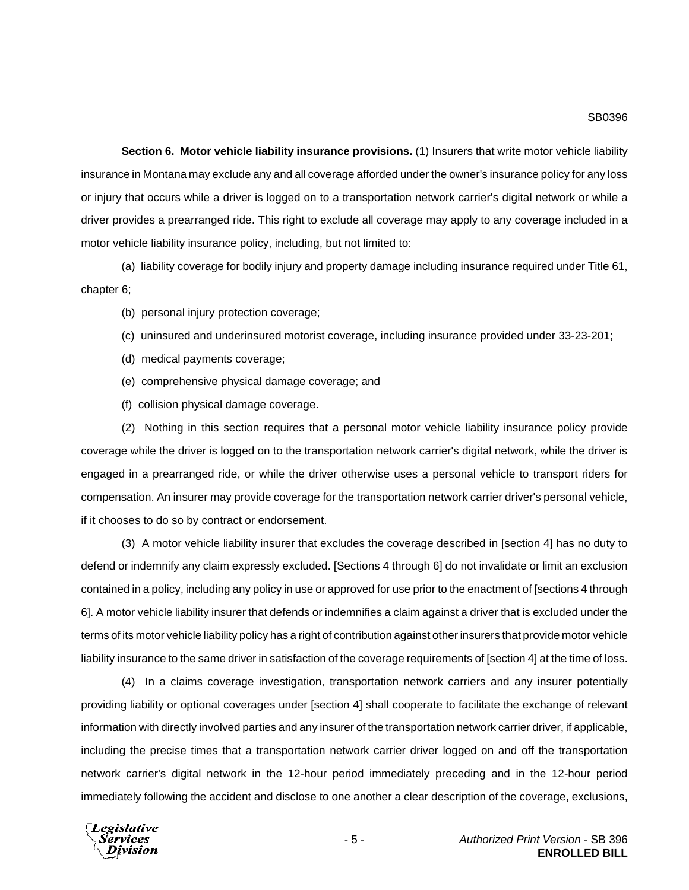**Section 6. Motor vehicle liability insurance provisions.** (1) Insurers that write motor vehicle liability insurance in Montana may exclude any and all coverage afforded under the owner's insurance policy for any loss or injury that occurs while a driver is logged on to a transportation network carrier's digital network or while a driver provides a prearranged ride. This right to exclude all coverage may apply to any coverage included in a motor vehicle liability insurance policy, including, but not limited to:

(a) liability coverage for bodily injury and property damage including insurance required under Title 61, chapter 6;

- (b) personal injury protection coverage;
- (c) uninsured and underinsured motorist coverage, including insurance provided under 33-23-201;
- (d) medical payments coverage;
- (e) comprehensive physical damage coverage; and
- (f) collision physical damage coverage.

(2) Nothing in this section requires that a personal motor vehicle liability insurance policy provide coverage while the driver is logged on to the transportation network carrier's digital network, while the driver is engaged in a prearranged ride, or while the driver otherwise uses a personal vehicle to transport riders for compensation. An insurer may provide coverage for the transportation network carrier driver's personal vehicle, if it chooses to do so by contract or endorsement.

(3) A motor vehicle liability insurer that excludes the coverage described in [section 4] has no duty to defend or indemnify any claim expressly excluded. [Sections 4 through 6] do not invalidate or limit an exclusion contained in a policy, including any policy in use or approved for use prior to the enactment of [sections 4 through 6]. A motor vehicle liability insurer that defends or indemnifies a claim against a driver that is excluded under the terms of its motor vehicle liability policy has a right of contribution against other insurers that provide motor vehicle liability insurance to the same driver in satisfaction of the coverage requirements of [section 4] at the time of loss.

(4) In a claims coverage investigation, transportation network carriers and any insurer potentially providing liability or optional coverages under [section 4] shall cooperate to facilitate the exchange of relevant information with directly involved parties and any insurer of the transportation network carrier driver, if applicable, including the precise times that a transportation network carrier driver logged on and off the transportation network carrier's digital network in the 12-hour period immediately preceding and in the 12-hour period immediately following the accident and disclose to one another a clear description of the coverage, exclusions,

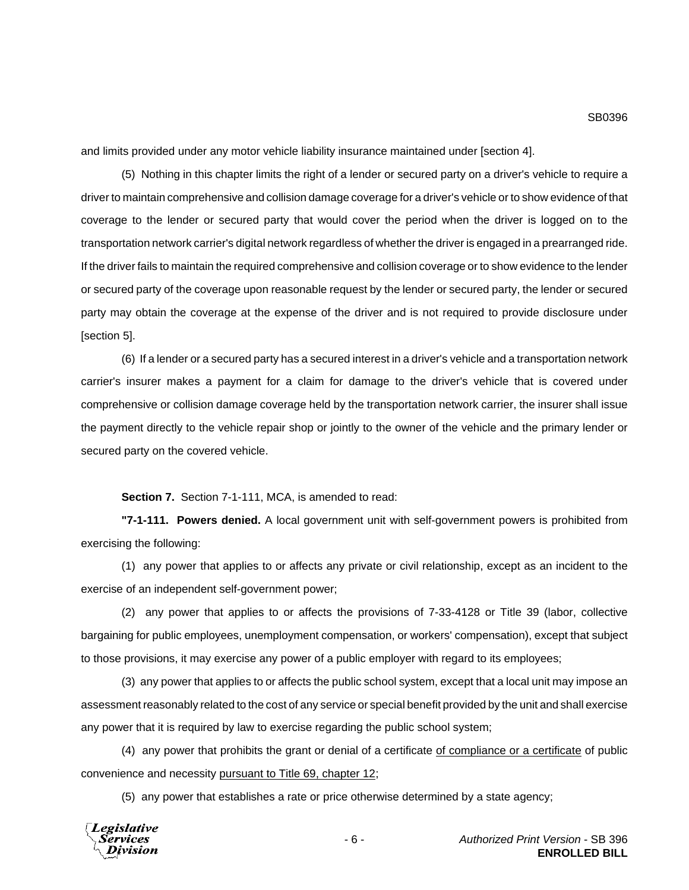and limits provided under any motor vehicle liability insurance maintained under [section 4].

(5) Nothing in this chapter limits the right of a lender or secured party on a driver's vehicle to require a driver to maintain comprehensive and collision damage coverage for a driver's vehicle or to show evidence of that coverage to the lender or secured party that would cover the period when the driver is logged on to the transportation network carrier's digital network regardless of whether the driver is engaged in a prearranged ride. If the driver fails to maintain the required comprehensive and collision coverage or to show evidence to the lender or secured party of the coverage upon reasonable request by the lender or secured party, the lender or secured party may obtain the coverage at the expense of the driver and is not required to provide disclosure under [section 5].

(6) If a lender or a secured party has a secured interest in a driver's vehicle and a transportation network carrier's insurer makes a payment for a claim for damage to the driver's vehicle that is covered under comprehensive or collision damage coverage held by the transportation network carrier, the insurer shall issue the payment directly to the vehicle repair shop or jointly to the owner of the vehicle and the primary lender or secured party on the covered vehicle.

**Section 7.** Section 7-1-111, MCA, is amended to read:

**"7-1-111. Powers denied.** A local government unit with self-government powers is prohibited from exercising the following:

(1) any power that applies to or affects any private or civil relationship, except as an incident to the exercise of an independent self-government power;

(2) any power that applies to or affects the provisions of 7-33-4128 or Title 39 (labor, collective bargaining for public employees, unemployment compensation, or workers' compensation), except that subject to those provisions, it may exercise any power of a public employer with regard to its employees;

(3) any power that applies to or affects the public school system, except that a local unit may impose an assessment reasonably related to the cost of any service or special benefit provided by the unit and shall exercise any power that it is required by law to exercise regarding the public school system;

(4) any power that prohibits the grant or denial of a certificate of compliance or a certificate of public convenience and necessity pursuant to Title 69, chapter 12;

(5) any power that establishes a rate or price otherwise determined by a state agency;

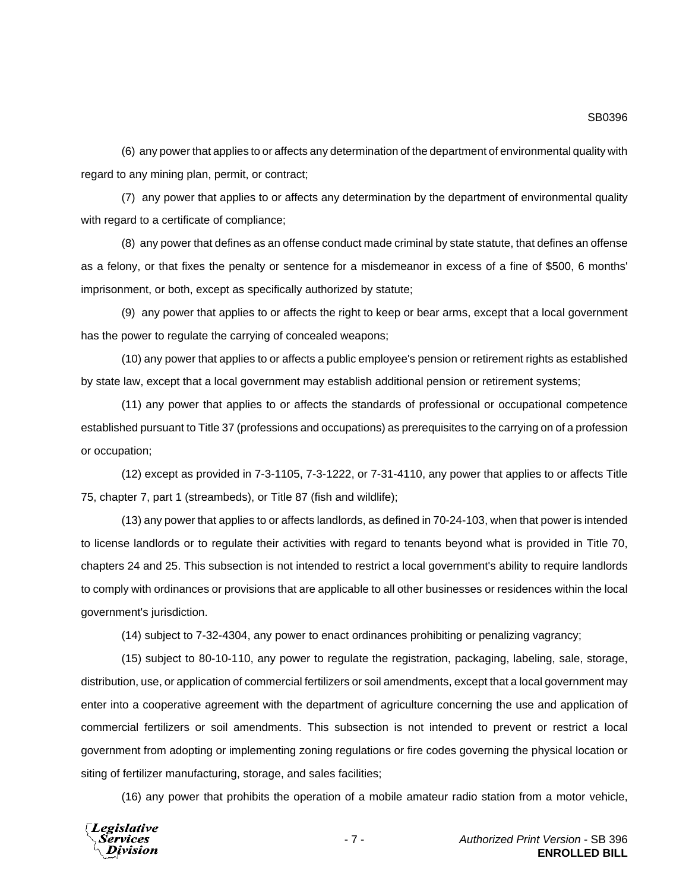SB0396

(6) any power that applies to or affects any determination of the department of environmental quality with regard to any mining plan, permit, or contract;

(7) any power that applies to or affects any determination by the department of environmental quality with regard to a certificate of compliance;

(8) any power that defines as an offense conduct made criminal by state statute, that defines an offense as a felony, or that fixes the penalty or sentence for a misdemeanor in excess of a fine of \$500, 6 months' imprisonment, or both, except as specifically authorized by statute;

(9) any power that applies to or affects the right to keep or bear arms, except that a local government has the power to regulate the carrying of concealed weapons;

(10) any power that applies to or affects a public employee's pension or retirement rights as established by state law, except that a local government may establish additional pension or retirement systems;

(11) any power that applies to or affects the standards of professional or occupational competence established pursuant to Title 37 (professions and occupations) as prerequisites to the carrying on of a profession or occupation;

(12) except as provided in 7-3-1105, 7-3-1222, or 7-31-4110, any power that applies to or affects Title 75, chapter 7, part 1 (streambeds), or Title 87 (fish and wildlife);

(13) any power that applies to or affects landlords, as defined in 70-24-103, when that power is intended to license landlords or to regulate their activities with regard to tenants beyond what is provided in Title 70, chapters 24 and 25. This subsection is not intended to restrict a local government's ability to require landlords to comply with ordinances or provisions that are applicable to all other businesses or residences within the local government's jurisdiction.

(14) subject to 7-32-4304, any power to enact ordinances prohibiting or penalizing vagrancy;

(15) subject to 80-10-110, any power to regulate the registration, packaging, labeling, sale, storage, distribution, use, or application of commercial fertilizers or soil amendments, except that a local government may enter into a cooperative agreement with the department of agriculture concerning the use and application of commercial fertilizers or soil amendments. This subsection is not intended to prevent or restrict a local government from adopting or implementing zoning regulations or fire codes governing the physical location or siting of fertilizer manufacturing, storage, and sales facilities;

(16) any power that prohibits the operation of a mobile amateur radio station from a motor vehicle,

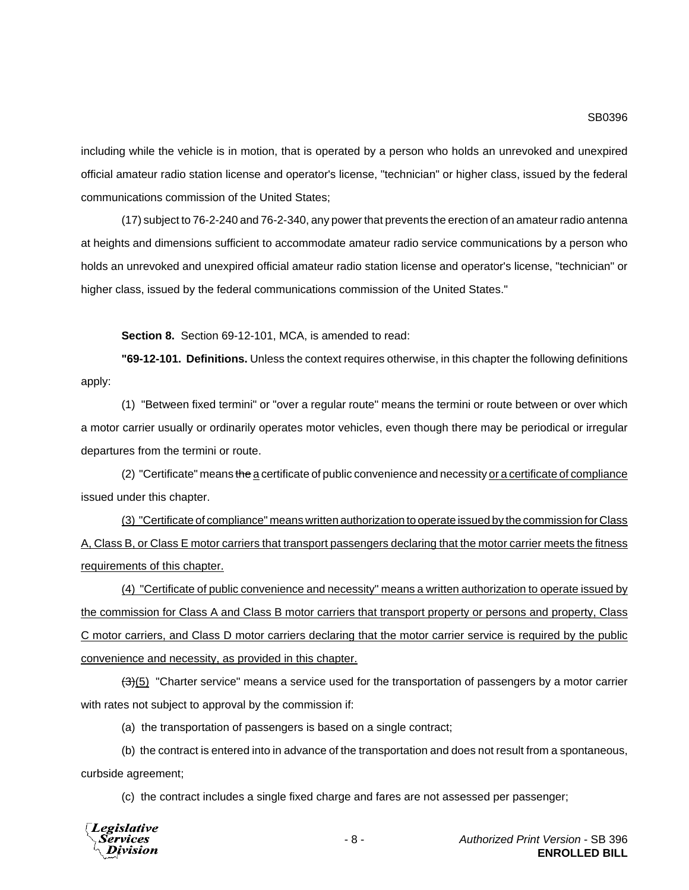including while the vehicle is in motion, that is operated by a person who holds an unrevoked and unexpired official amateur radio station license and operator's license, "technician" or higher class, issued by the federal communications commission of the United States;

(17) subject to 76-2-240 and 76-2-340, any power that prevents the erection of an amateur radio antenna at heights and dimensions sufficient to accommodate amateur radio service communications by a person who holds an unrevoked and unexpired official amateur radio station license and operator's license, "technician" or higher class, issued by the federal communications commission of the United States."

**Section 8.** Section 69-12-101, MCA, is amended to read:

**"69-12-101. Definitions.** Unless the context requires otherwise, in this chapter the following definitions apply:

(1) "Between fixed termini" or "over a regular route" means the termini or route between or over which a motor carrier usually or ordinarily operates motor vehicles, even though there may be periodical or irregular departures from the termini or route.

(2) "Certificate" means the a certificate of public convenience and necessity or a certificate of compliance issued under this chapter.

(3) "Certificate of compliance" means written authorization to operate issued by the commission for Class A, Class B, or Class E motor carriers that transport passengers declaring that the motor carrier meets the fitness requirements of this chapter.

(4) "Certificate of public convenience and necessity" means a written authorization to operate issued by the commission for Class A and Class B motor carriers that transport property or persons and property, Class C motor carriers, and Class D motor carriers declaring that the motor carrier service is required by the public convenience and necessity, as provided in this chapter.

 $\left(\frac{1}{2}\right)$  (5) "Charter service" means a service used for the transportation of passengers by a motor carrier with rates not subject to approval by the commission if:

(a) the transportation of passengers is based on a single contract;

(b) the contract is entered into in advance of the transportation and does not result from a spontaneous, curbside agreement;

(c) the contract includes a single fixed charge and fares are not assessed per passenger;

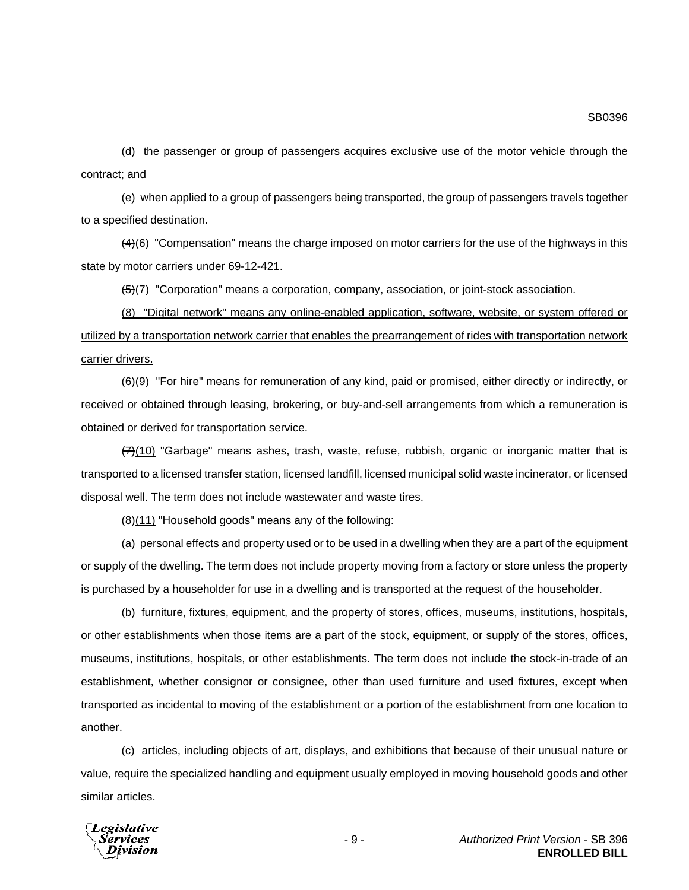SB0396

(d) the passenger or group of passengers acquires exclusive use of the motor vehicle through the contract; and

(e) when applied to a group of passengers being transported, the group of passengers travels together to a specified destination.

 $(4)$ (6) "Compensation" means the charge imposed on motor carriers for the use of the highways in this state by motor carriers under 69-12-421.

 $\frac{5}{2}$ (7) "Corporation" means a corporation, company, association, or joint-stock association.

(8) "Digital network" means any online-enabled application, software, website, or system offered or utilized by a transportation network carrier that enables the prearrangement of rides with transportation network carrier drivers.

(6)(9) "For hire" means for remuneration of any kind, paid or promised, either directly or indirectly, or received or obtained through leasing, brokering, or buy-and-sell arrangements from which a remuneration is obtained or derived for transportation service.

 $(7)(10)$  "Garbage" means ashes, trash, waste, refuse, rubbish, organic or inorganic matter that is transported to a licensed transfer station, licensed landfill, licensed municipal solid waste incinerator, or licensed disposal well. The term does not include wastewater and waste tires.

 $\left(\frac{1}{\theta}\right)$ (11) "Household goods" means any of the following:

(a) personal effects and property used or to be used in a dwelling when they are a part of the equipment or supply of the dwelling. The term does not include property moving from a factory or store unless the property is purchased by a householder for use in a dwelling and is transported at the request of the householder.

(b) furniture, fixtures, equipment, and the property of stores, offices, museums, institutions, hospitals, or other establishments when those items are a part of the stock, equipment, or supply of the stores, offices, museums, institutions, hospitals, or other establishments. The term does not include the stock-in-trade of an establishment, whether consignor or consignee, other than used furniture and used fixtures, except when transported as incidental to moving of the establishment or a portion of the establishment from one location to another.

(c) articles, including objects of art, displays, and exhibitions that because of their unusual nature or value, require the specialized handling and equipment usually employed in moving household goods and other similar articles.

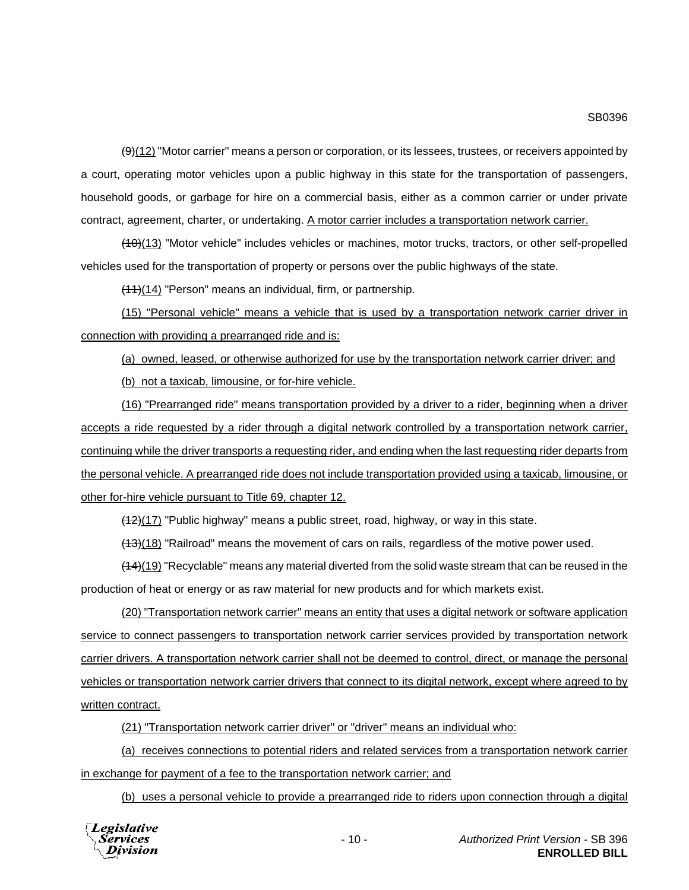$(9)$ (12) "Motor carrier" means a person or corporation, or its lessees, trustees, or receivers appointed by a court, operating motor vehicles upon a public highway in this state for the transportation of passengers, household goods, or garbage for hire on a commercial basis, either as a common carrier or under private contract, agreement, charter, or undertaking. A motor carrier includes a transportation network carrier.

 $(10)(13)$  "Motor vehicle" includes vehicles or machines, motor trucks, tractors, or other self-propelled vehicles used for the transportation of property or persons over the public highways of the state.

 $(11)(14)$  "Person" means an individual, firm, or partnership.

(15) "Personal vehicle" means a vehicle that is used by a transportation network carrier driver in connection with providing a prearranged ride and is:

(a) owned, leased, or otherwise authorized for use by the transportation network carrier driver; and (b) not a taxicab, limousine, or for-hire vehicle.

(16) "Prearranged ride" means transportation provided by a driver to a rider, beginning when a driver accepts a ride requested by a rider through a digital network controlled by a transportation network carrier, continuing while the driver transports a requesting rider, and ending when the last requesting rider departs from the personal vehicle. A prearranged ride does not include transportation provided using a taxicab, limousine, or other for-hire vehicle pursuant to Title 69, chapter 12.

 $(12)(17)$  "Public highway" means a public street, road, highway, or way in this state.

 $(13)(18)$  "Railroad" means the movement of cars on rails, regardless of the motive power used.

 $(14)(19)$  "Recyclable" means any material diverted from the solid waste stream that can be reused in the production of heat or energy or as raw material for new products and for which markets exist.

(20) "Transportation network carrier" means an entity that uses a digital network or software application service to connect passengers to transportation network carrier services provided by transportation network carrier drivers. A transportation network carrier shall not be deemed to control, direct, or manage the personal vehicles or transportation network carrier drivers that connect to its digital network, except where agreed to by written contract.

(21) "Transportation network carrier driver" or "driver" means an individual who:

(a) receives connections to potential riders and related services from a transportation network carrier in exchange for payment of a fee to the transportation network carrier; and

(b) uses a personal vehicle to provide a prearranged ride to riders upon connection through a digital

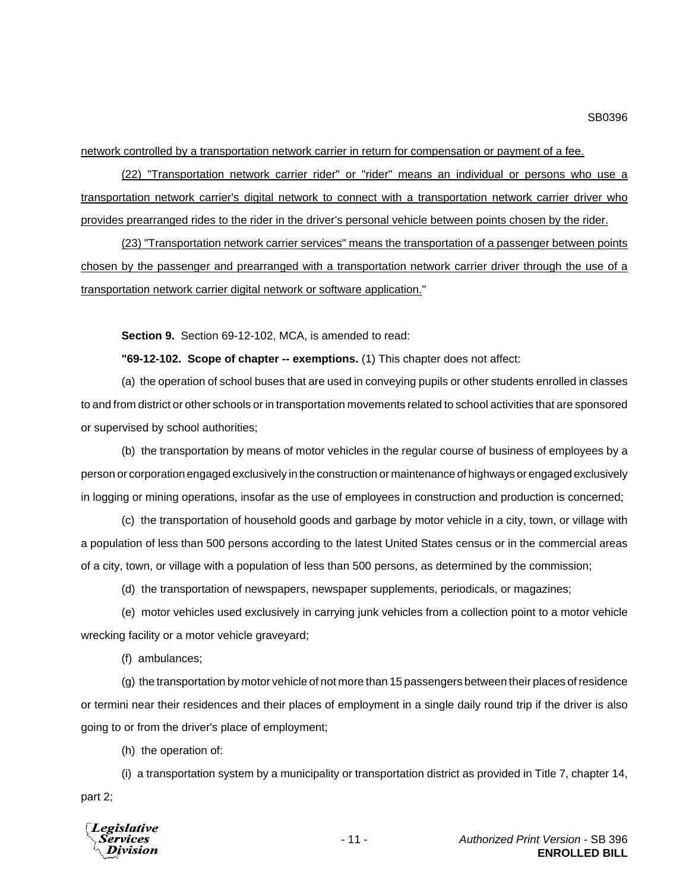network controlled by a transportation network carrier in return for compensation or payment of a fee.

(22) "Transportation network carrier rider" or "rider" means an individual or persons who use a transportation network carrier's digital network to connect with a transportation network carrier driver who provides prearranged rides to the rider in the driver's personal vehicle between points chosen by the rider.

(23) "Transportation network carrier services" means the transportation of a passenger between points chosen by the passenger and prearranged with a transportation network carrier driver through the use of a transportation network carrier digital network or software application."

**Section 9.** Section 69-12-102, MCA, is amended to read:

**"69-12-102. Scope of chapter -- exemptions.** (1) This chapter does not affect:

(a) the operation of school buses that are used in conveying pupils or other students enrolled in classes to and from district or other schools or in transportation movements related to school activities that are sponsored or supervised by school authorities;

(b) the transportation by means of motor vehicles in the regular course of business of employees by a person or corporation engaged exclusively in the construction or maintenance of highways or engaged exclusively in logging or mining operations, insofar as the use of employees in construction and production is concerned;

(c) the transportation of household goods and garbage by motor vehicle in a city, town, or village with a population of less than 500 persons according to the latest United States census or in the commercial areas of a city, town, or village with a population of less than 500 persons, as determined by the commission;

(d) the transportation of newspapers, newspaper supplements, periodicals, or magazines;

(e) motor vehicles used exclusively in carrying junk vehicles from a collection point to a motor vehicle wrecking facility or a motor vehicle graveyard;

(f) ambulances;

(g) the transportation by motor vehicle of not more than 15 passengers between their places of residence or termini near their residences and their places of employment in a single daily round trip if the driver is also going to or from the driver's place of employment;

(h) the operation of:

(i) a transportation system by a municipality or transportation district as provided in Title 7, chapter 14, part 2;

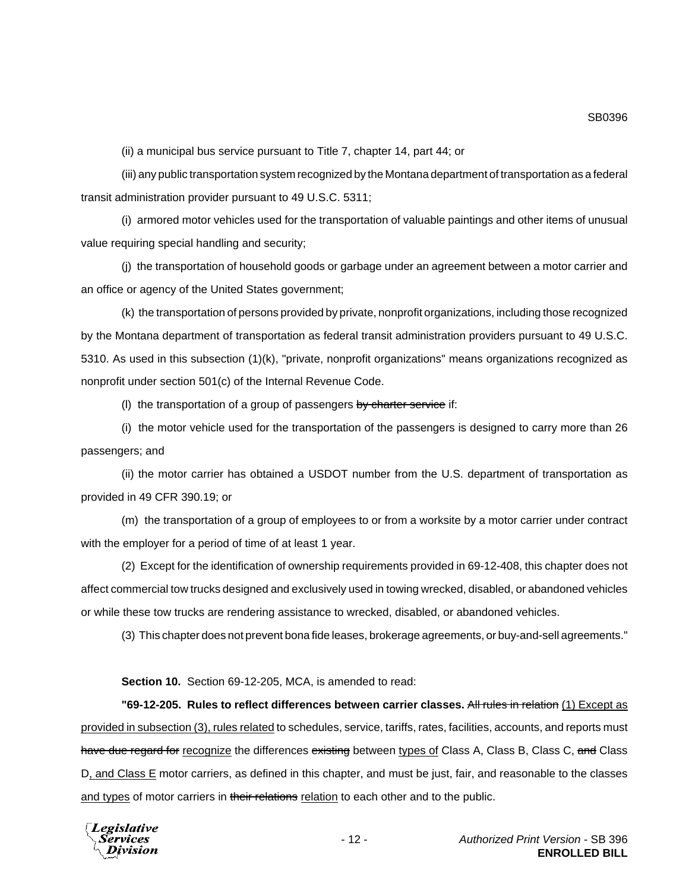(ii) a municipal bus service pursuant to Title 7, chapter 14, part 44; or

(iii) any public transportation system recognized by the Montana department of transportation as a federal transit administration provider pursuant to 49 U.S.C. 5311;

(i) armored motor vehicles used for the transportation of valuable paintings and other items of unusual value requiring special handling and security;

(j) the transportation of household goods or garbage under an agreement between a motor carrier and an office or agency of the United States government;

(k) the transportation of persons provided by private, nonprofit organizations, including those recognized by the Montana department of transportation as federal transit administration providers pursuant to 49 U.S.C. 5310. As used in this subsection (1)(k), "private, nonprofit organizations" means organizations recognized as nonprofit under section 501(c) of the Internal Revenue Code.

(I) the transportation of a group of passengers by charter service if:

(i) the motor vehicle used for the transportation of the passengers is designed to carry more than 26 passengers; and

(ii) the motor carrier has obtained a USDOT number from the U.S. department of transportation as provided in 49 CFR 390.19; or

(m) the transportation of a group of employees to or from a worksite by a motor carrier under contract with the employer for a period of time of at least 1 year.

(2) Except for the identification of ownership requirements provided in 69-12-408, this chapter does not affect commercial tow trucks designed and exclusively used in towing wrecked, disabled, or abandoned vehicles or while these tow trucks are rendering assistance to wrecked, disabled, or abandoned vehicles.

(3) This chapter does not prevent bona fide leases, brokerage agreements, or buy-and-sell agreements."

**Section 10.** Section 69-12-205, MCA, is amended to read:

**"69-12-205. Rules to reflect differences between carrier classes.** All rules in relation (1) Except as provided in subsection (3), rules related to schedules, service, tariffs, rates, facilities, accounts, and reports must have due regard for recognize the differences existing between types of Class A, Class B, Class C, and Class D, and Class E motor carriers, as defined in this chapter, and must be just, fair, and reasonable to the classes and types of motor carriers in their relations relation to each other and to the public.

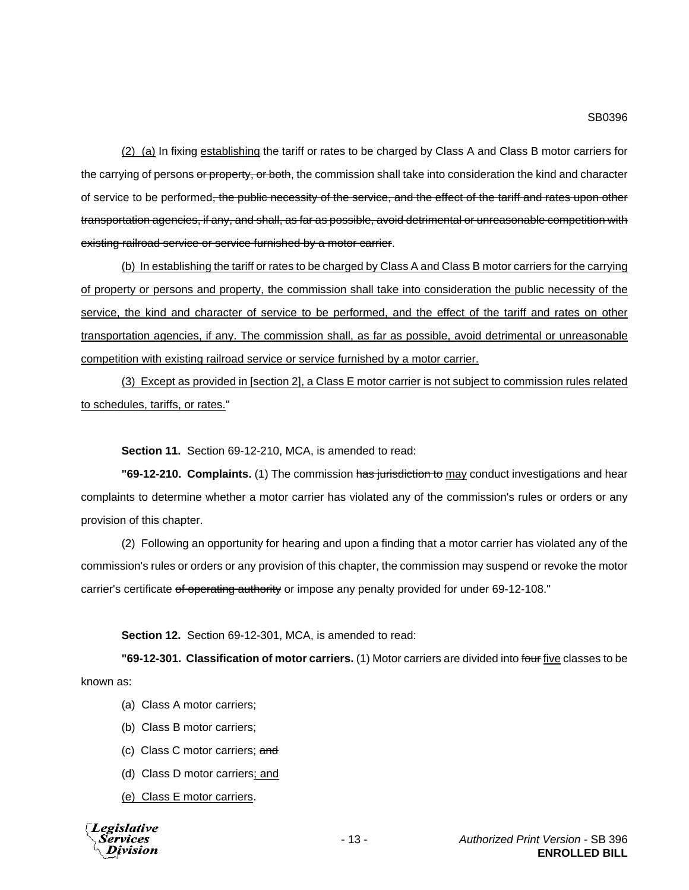(2) (a) In fixing establishing the tariff or rates to be charged by Class A and Class B motor carriers for the carrying of persons or property, or both, the commission shall take into consideration the kind and character of service to be performed<del>, the public necessity of the service, and the effect of the tariff and rates upon other</del> transportation agencies, if any, and shall, as far as possible, avoid detrimental or unreasonable competition with existing railroad service or service furnished by a motor carrier.

(b) In establishing the tariff or rates to be charged by Class A and Class B motor carriers for the carrying of property or persons and property, the commission shall take into consideration the public necessity of the service, the kind and character of service to be performed, and the effect of the tariff and rates on other transportation agencies, if any. The commission shall, as far as possible, avoid detrimental or unreasonable competition with existing railroad service or service furnished by a motor carrier.

(3) Except as provided in [section 2], a Class E motor carrier is not subject to commission rules related to schedules, tariffs, or rates."

**Section 11.** Section 69-12-210, MCA, is amended to read:

**"69-12-210. Complaints.** (1) The commission has jurisdiction to may conduct investigations and hear complaints to determine whether a motor carrier has violated any of the commission's rules or orders or any provision of this chapter.

(2) Following an opportunity for hearing and upon a finding that a motor carrier has violated any of the commission's rules or orders or any provision of this chapter, the commission may suspend or revoke the motor carrier's certificate of operating authority or impose any penalty provided for under 69-12-108."

**Section 12.** Section 69-12-301, MCA, is amended to read:

**"69-12-301. Classification of motor carriers.** (1) Motor carriers are divided into four five classes to be known as:

- (a) Class A motor carriers;
- (b) Class B motor carriers;
- (c) Class C motor carriers; and
- (d) Class D motor carriers; and
- (e) Class E motor carriers.

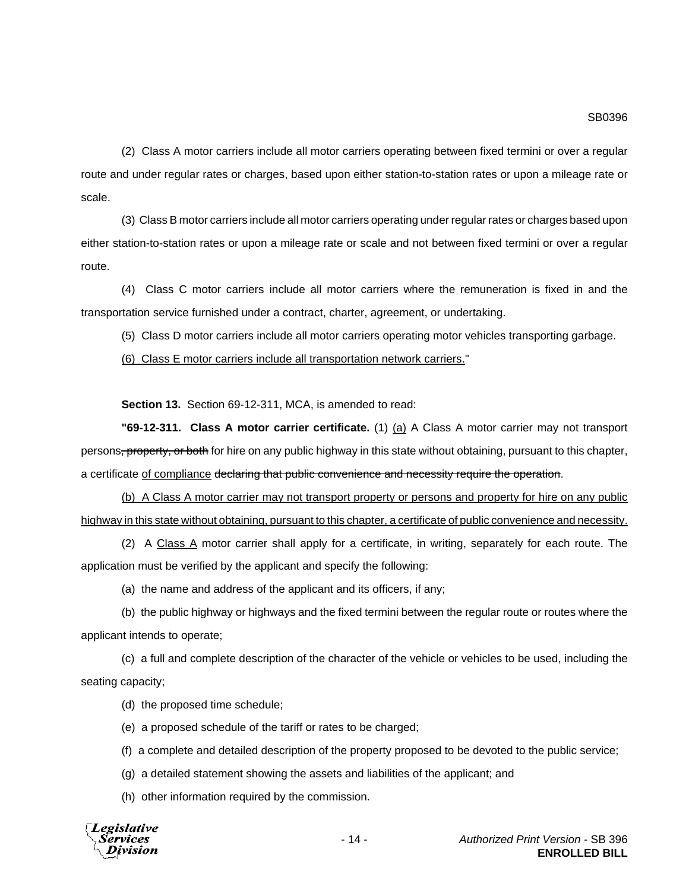(2) Class A motor carriers include all motor carriers operating between fixed termini or over a regular route and under regular rates or charges, based upon either station-to-station rates or upon a mileage rate or scale.

(3) Class B motor carriers include all motor carriers operating under regular rates or charges based upon either station-to-station rates or upon a mileage rate or scale and not between fixed termini or over a regular route.

(4) Class C motor carriers include all motor carriers where the remuneration is fixed in and the transportation service furnished under a contract, charter, agreement, or undertaking.

(5) Class D motor carriers include all motor carriers operating motor vehicles transporting garbage.

(6) Class E motor carriers include all transportation network carriers."

**Section 13.** Section 69-12-311, MCA, is amended to read:

**"69-12-311. Class A motor carrier certificate.** (1) (a) A Class A motor carrier may not transport persons<del>, property, or both</del> for hire on any public highway in this state without obtaining, pursuant to this chapter, a certificate of compliance declaring that public convenience and necessity require the operation.

(b) A Class A motor carrier may not transport property or persons and property for hire on any public highway in this state without obtaining, pursuant to this chapter, a certificate of public convenience and necessity.

(2) A Class A motor carrier shall apply for a certificate, in writing, separately for each route. The application must be verified by the applicant and specify the following:

(a) the name and address of the applicant and its officers, if any;

(b) the public highway or highways and the fixed termini between the regular route or routes where the applicant intends to operate;

(c) a full and complete description of the character of the vehicle or vehicles to be used, including the seating capacity;

(d) the proposed time schedule;

(e) a proposed schedule of the tariff or rates to be charged;

(f) a complete and detailed description of the property proposed to be devoted to the public service;

(g) a detailed statement showing the assets and liabilities of the applicant; and

(h) other information required by the commission.

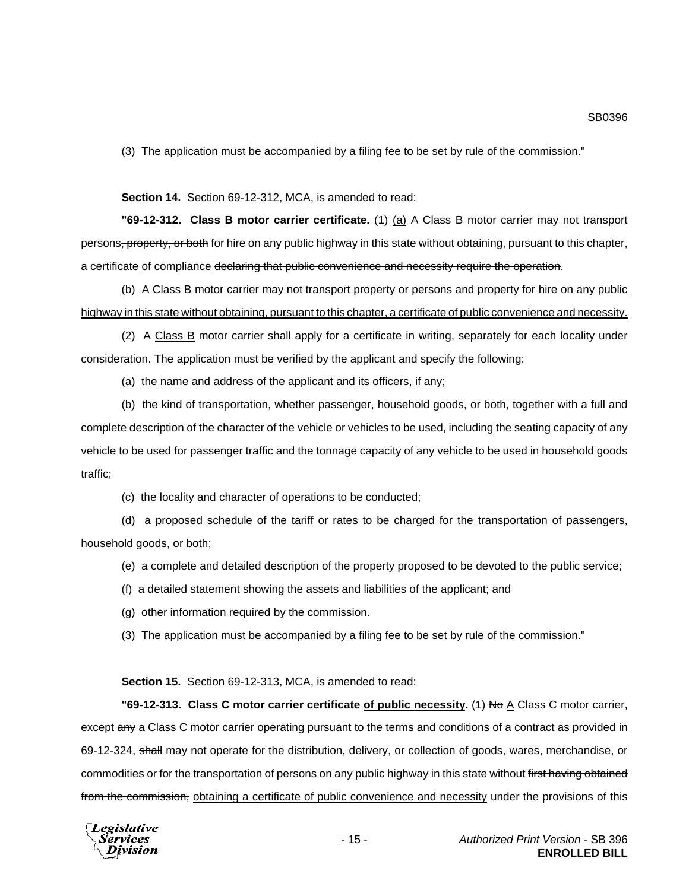(3) The application must be accompanied by a filing fee to be set by rule of the commission."

**Section 14.** Section 69-12-312, MCA, is amended to read:

**"69-12-312. Class B motor carrier certificate.** (1) (a) A Class B motor carrier may not transport persons<del>, property, or both</del> for hire on any public highway in this state without obtaining, pursuant to this chapter, a certificate of compliance declaring that public convenience and necessity require the operation.

(b) A Class B motor carrier may not transport property or persons and property for hire on any public highway in this state without obtaining, pursuant to this chapter, a certificate of public convenience and necessity.

(2) A Class B motor carrier shall apply for a certificate in writing, separately for each locality under consideration. The application must be verified by the applicant and specify the following:

(a) the name and address of the applicant and its officers, if any;

(b) the kind of transportation, whether passenger, household goods, or both, together with a full and complete description of the character of the vehicle or vehicles to be used, including the seating capacity of any vehicle to be used for passenger traffic and the tonnage capacity of any vehicle to be used in household goods traffic;

(c) the locality and character of operations to be conducted;

(d) a proposed schedule of the tariff or rates to be charged for the transportation of passengers, household goods, or both;

(e) a complete and detailed description of the property proposed to be devoted to the public service;

(f) a detailed statement showing the assets and liabilities of the applicant; and

(g) other information required by the commission.

(3) The application must be accompanied by a filing fee to be set by rule of the commission."

**Section 15.** Section 69-12-313, MCA, is amended to read:

**"69-12-313. Class C motor carrier certificate of public necessity.** (1) No A Class C motor carrier, except any a Class C motor carrier operating pursuant to the terms and conditions of a contract as provided in 69-12-324, shall may not operate for the distribution, delivery, or collection of goods, wares, merchandise, or commodities or for the transportation of persons on any public highway in this state without first having obtained from the commission, obtaining a certificate of public convenience and necessity under the provisions of this

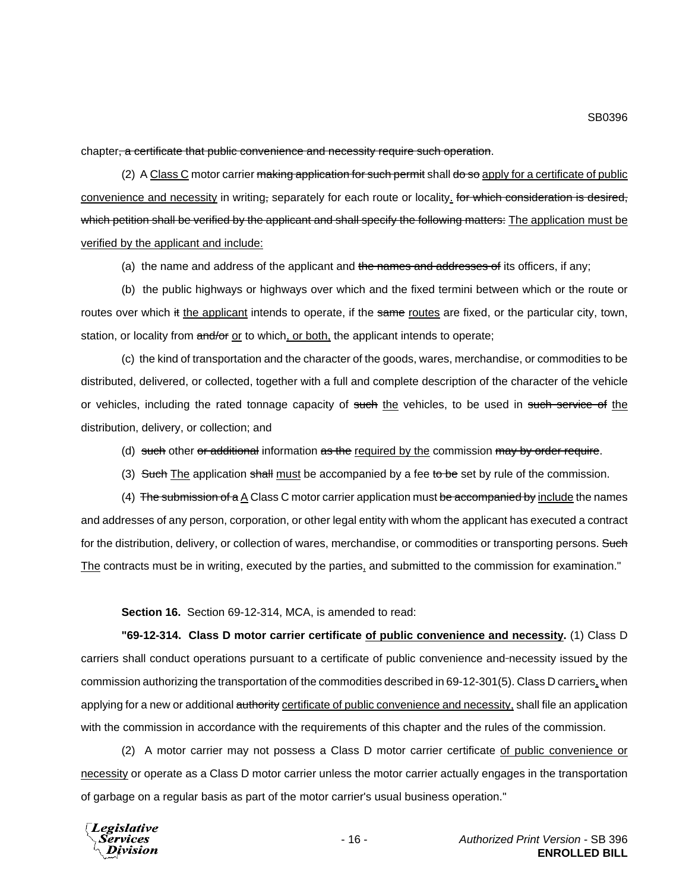chapter, a certificate that public convenience and necessity require such operation.

(2) A Class C motor carrier making application for such permit shall do so apply for a certificate of public convenience and necessity in writing, separately for each route or locality. for which consideration is desired, which petition shall be verified by the applicant and shall specify the following matters: The application must be verified by the applicant and include:

(a) the name and address of the applicant and the names and addresses of its officers, if any;

(b) the public highways or highways over which and the fixed termini between which or the route or routes over which it the applicant intends to operate, if the same routes are fixed, or the particular city, town, station, or locality from and/or or to which, or both, the applicant intends to operate;

(c) the kind of transportation and the character of the goods, wares, merchandise, or commodities to be distributed, delivered, or collected, together with a full and complete description of the character of the vehicle or vehicles, including the rated tonnage capacity of such the vehicles, to be used in such service of the distribution, delivery, or collection; and

(d) such other or additional information as the required by the commission may by order require.

(3) Such The application shall must be accompanied by a fee to be set by rule of the commission.

(4) The submission of a A Class C motor carrier application must be accompanied by include the names and addresses of any person, corporation, or other legal entity with whom the applicant has executed a contract for the distribution, delivery, or collection of wares, merchandise, or commodities or transporting persons. Such The contracts must be in writing, executed by the parties, and submitted to the commission for examination."

**Section 16.** Section 69-12-314, MCA, is amended to read:

**"69-12-314. Class D motor carrier certificate of public convenience and necessity.** (1) Class D carriers shall conduct operations pursuant to a certificate of public convenience and necessity issued by the commission authorizing the transportation of the commodities described in 69-12-301(5). Class D carriers, when applying for a new or additional authority certificate of public convenience and necessity, shall file an application with the commission in accordance with the requirements of this chapter and the rules of the commission.

(2) A motor carrier may not possess a Class D motor carrier certificate of public convenience or necessity or operate as a Class D motor carrier unless the motor carrier actually engages in the transportation of garbage on a regular basis as part of the motor carrier's usual business operation."

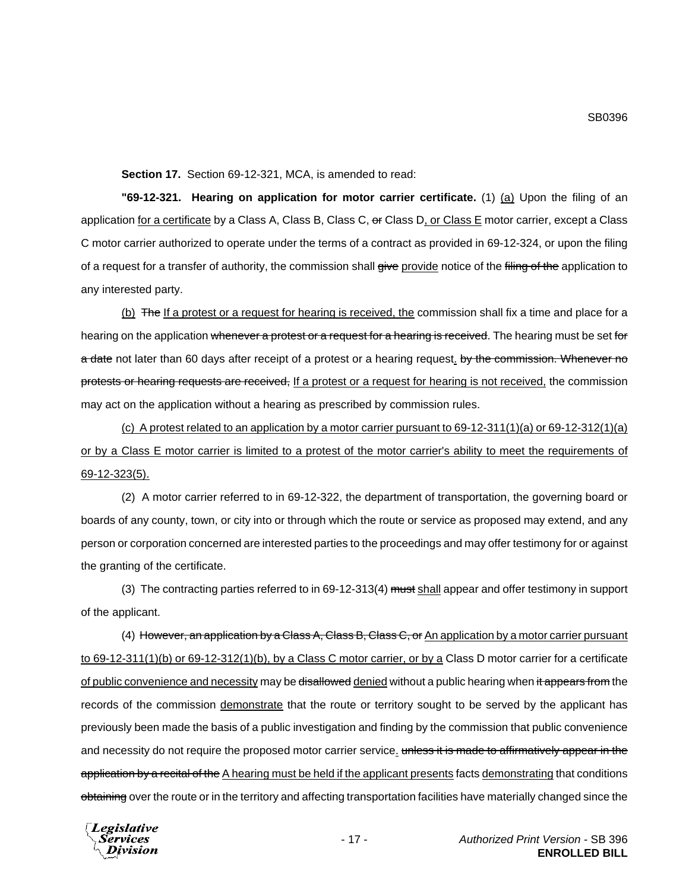**Section 17.** Section 69-12-321, MCA, is amended to read:

**"69-12-321. Hearing on application for motor carrier certificate.** (1) (a) Upon the filing of an application for a certificate by a Class A, Class B, Class C, or Class D, or Class E motor carrier, except a Class C motor carrier authorized to operate under the terms of a contract as provided in 69-12-324, or upon the filing of a request for a transfer of authority, the commission shall give provide notice of the filing of the application to any interested party.

(b) The If a protest or a request for hearing is received, the commission shall fix a time and place for a hearing on the application whenever a protest or a request for a hearing is received. The hearing must be set for a date not later than 60 days after receipt of a protest or a hearing request. by the commission. Whenever no protests or hearing requests are received, If a protest or a request for hearing is not received, the commission may act on the application without a hearing as prescribed by commission rules.

(c) A protest related to an application by a motor carrier pursuant to 69-12-311(1)(a) or 69-12-312(1)(a) or by a Class E motor carrier is limited to a protest of the motor carrier's ability to meet the requirements of 69-12-323(5).

(2) A motor carrier referred to in 69-12-322, the department of transportation, the governing board or boards of any county, town, or city into or through which the route or service as proposed may extend, and any person or corporation concerned are interested parties to the proceedings and may offer testimony for or against the granting of the certificate.

(3) The contracting parties referred to in 69-12-313(4) must shall appear and offer testimony in support of the applicant.

(4) However, an application by a Class A, Class B, Class C, or An application by a motor carrier pursuant to 69-12-311(1)(b) or 69-12-312(1)(b), by a Class C motor carrier, or by a Class D motor carrier for a certificate of public convenience and necessity may be <del>disallowed</del> denied without a public hearing when it appears from the records of the commission demonstrate that the route or territory sought to be served by the applicant has previously been made the basis of a public investigation and finding by the commission that public convenience and necessity do not require the proposed motor carrier service. unless it is made to affirmatively appear in the application by a recital of the A hearing must be held if the applicant presents facts demonstrating that conditions obtaining over the route or in the territory and affecting transportation facilities have materially changed since the

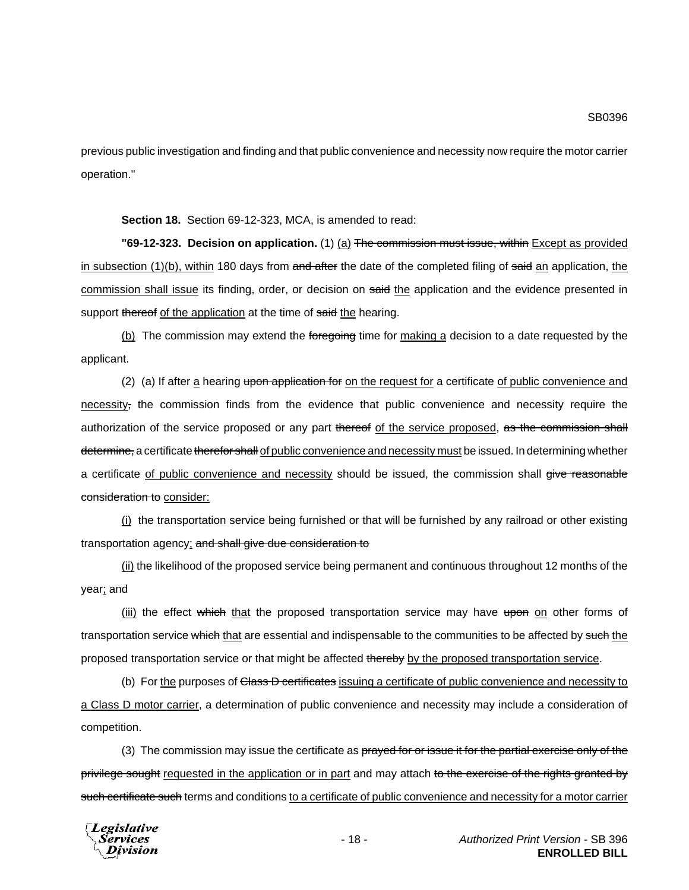previous public investigation and finding and that public convenience and necessity now require the motor carrier operation."

**Section 18.** Section 69-12-323, MCA, is amended to read:

**"69-12-323. Decision on application.** (1) (a) The commission must issue, within Except as provided in subsection  $(1)(b)$ , within 180 days from and after the date of the completed filing of said an application, the commission shall issue its finding, order, or decision on said the application and the evidence presented in support thereof of the application at the time of said the hearing.

(b) The commission may extend the foregoing time for making a decision to a date requested by the applicant.

(2) (a) If after a hearing upon application for on the request for a certificate of public convenience and necessity, the commission finds from the evidence that public convenience and necessity require the authorization of the service proposed or any part thereof of the service proposed, as the commission shall determine, a certificate therefor shall of public convenience and necessity must be issued. In determining whether a certificate of public convenience and necessity should be issued, the commission shall give reasonable consideration to consider:

(i) the transportation service being furnished or that will be furnished by any railroad or other existing transportation agency; and shall give due consideration to

(ii) the likelihood of the proposed service being permanent and continuous throughout 12 months of the year; and

(iii) the effect which that the proposed transportation service may have upon on other forms of transportation service which that are essential and indispensable to the communities to be affected by such the proposed transportation service or that might be affected thereby by the proposed transportation service.

(b) For the purposes of Class D certificates issuing a certificate of public convenience and necessity to a Class D motor carrier, a determination of public convenience and necessity may include a consideration of competition.

(3) The commission may issue the certificate as prayed for or issue it for the partial exercise only of the privilege sought requested in the application or in part and may attach to the exercise of the rights granted by such certificate such terms and conditions to a certificate of public convenience and necessity for a motor carrier

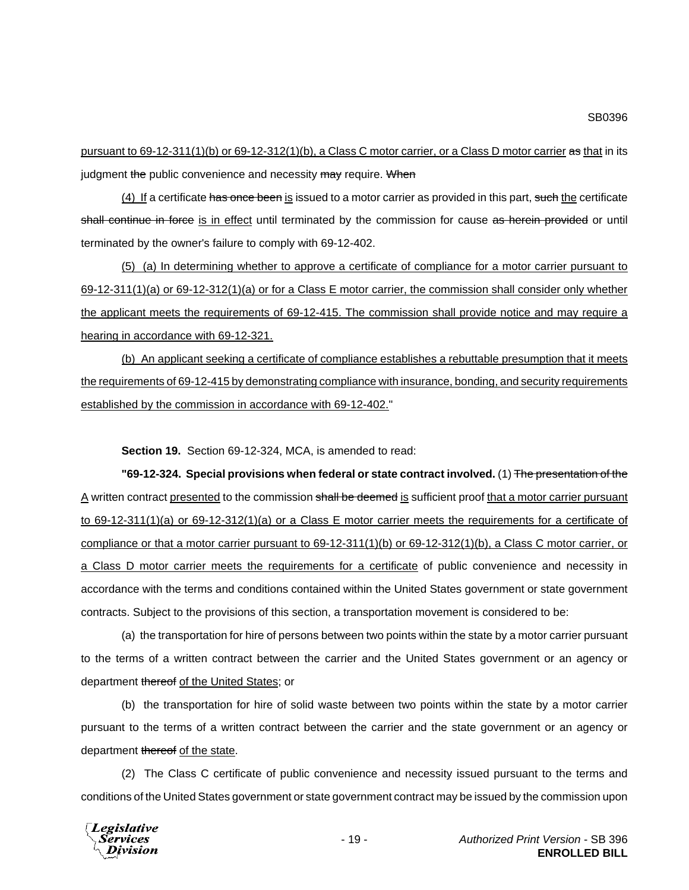pursuant to 69-12-311(1)(b) or 69-12-312(1)(b), a Class C motor carrier, or a Class D motor carrier as that in its judgment the public convenience and necessity may require. When

(4) If a certificate has once been is issued to a motor carrier as provided in this part, such the certificate shall continue in force is in effect until terminated by the commission for cause as herein provided or until terminated by the owner's failure to comply with 69-12-402.

(5) (a) In determining whether to approve a certificate of compliance for a motor carrier pursuant to 69-12-311(1)(a) or 69-12-312(1)(a) or for a Class E motor carrier, the commission shall consider only whether the applicant meets the requirements of 69-12-415. The commission shall provide notice and may require a hearing in accordance with 69-12-321.

(b) An applicant seeking a certificate of compliance establishes a rebuttable presumption that it meets the requirements of 69-12-415 by demonstrating compliance with insurance, bonding, and security requirements established by the commission in accordance with 69-12-402."

**Section 19.** Section 69-12-324, MCA, is amended to read:

**"69-12-324. Special provisions when federal or state contract involved.** (1) The presentation of the A written contract presented to the commission shall be deemed is sufficient proof that a motor carrier pursuant to 69-12-311(1)(a) or 69-12-312(1)(a) or a Class E motor carrier meets the requirements for a certificate of compliance or that a motor carrier pursuant to 69-12-311(1)(b) or 69-12-312(1)(b), a Class C motor carrier, or a Class D motor carrier meets the requirements for a certificate of public convenience and necessity in accordance with the terms and conditions contained within the United States government or state government contracts. Subject to the provisions of this section, a transportation movement is considered to be:

(a) the transportation for hire of persons between two points within the state by a motor carrier pursuant to the terms of a written contract between the carrier and the United States government or an agency or department thereof of the United States; or

(b) the transportation for hire of solid waste between two points within the state by a motor carrier pursuant to the terms of a written contract between the carrier and the state government or an agency or department thereof of the state.

(2) The Class C certificate of public convenience and necessity issued pursuant to the terms and conditions of the United States government or state government contract may be issued by the commission upon

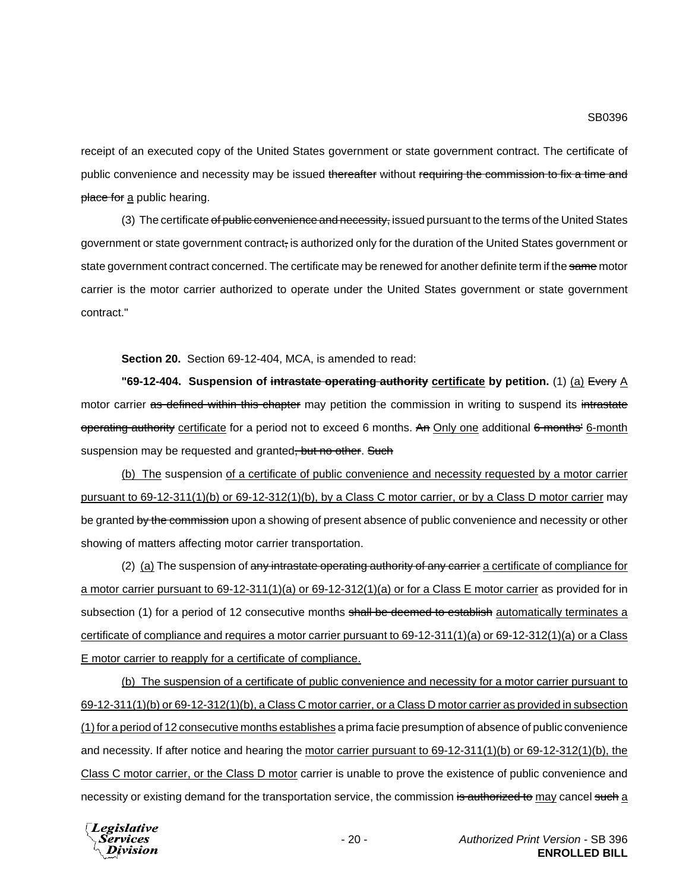receipt of an executed copy of the United States government or state government contract. The certificate of public convenience and necessity may be issued thereafter without requiring the commission to fix a time and place for a public hearing.

(3) The certificate of public convenience and necessity, issued pursuant to the terms of the United States government or state government contract, is authorized only for the duration of the United States government or state government contract concerned. The certificate may be renewed for another definite term if the same motor carrier is the motor carrier authorized to operate under the United States government or state government contract."

**Section 20.** Section 69-12-404, MCA, is amended to read:

**"69-12-404. Suspension of intrastate operating authority certificate by petition.** (1) (a) Every A motor carrier as defined within this chapter may petition the commission in writing to suspend its intrastate operating authority certificate for a period not to exceed 6 months. An Only one additional 6 months' 6-month suspension may be requested and granted, but no other. Such

(b) The suspension of a certificate of public convenience and necessity requested by a motor carrier pursuant to 69-12-311(1)(b) or 69-12-312(1)(b), by a Class C motor carrier, or by a Class D motor carrier may be granted by the commission upon a showing of present absence of public convenience and necessity or other showing of matters affecting motor carrier transportation.

(2) (a) The suspension of any intrastate operating authority of any carrier a certificate of compliance for a motor carrier pursuant to 69-12-311(1)(a) or 69-12-312(1)(a) or for a Class E motor carrier as provided for in subsection (1) for a period of 12 consecutive months shall be deemed to establish automatically terminates a certificate of compliance and requires a motor carrier pursuant to 69-12-311(1)(a) or 69-12-312(1)(a) or a Class E motor carrier to reapply for a certificate of compliance.

(b) The suspension of a certificate of public convenience and necessity for a motor carrier pursuant to 69-12-311(1)(b) or 69-12-312(1)(b), a Class C motor carrier, or a Class D motor carrier as provided in subsection (1) for a period of 12 consecutive months establishes a prima facie presumption of absence of public convenience and necessity. If after notice and hearing the motor carrier pursuant to 69-12-311(1)(b) or 69-12-312(1)(b), the Class C motor carrier, or the Class D motor carrier is unable to prove the existence of public convenience and necessity or existing demand for the transportation service, the commission is authorized to may cancel such a

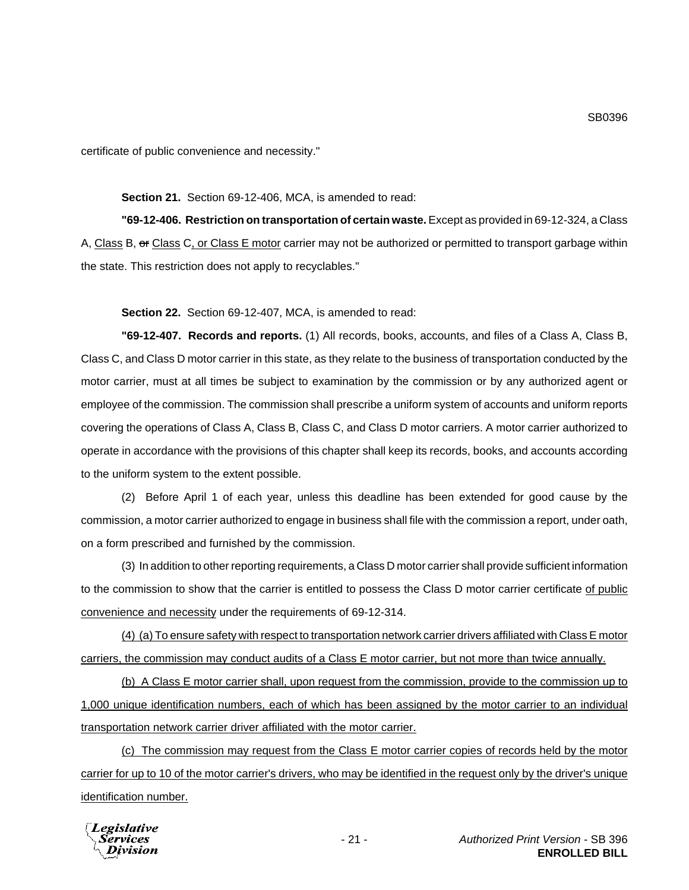## **Section 21.** Section 69-12-406, MCA, is amended to read:

**"69-12-406. Restriction on transportation of certain waste.** Except as provided in 69-12-324, a Class A, Class B, or Class C, or Class E motor carrier may not be authorized or permitted to transport garbage within the state. This restriction does not apply to recyclables."

**Section 22.** Section 69-12-407, MCA, is amended to read:

**"69-12-407. Records and reports.** (1) All records, books, accounts, and files of a Class A, Class B, Class C, and Class D motor carrier in this state, as they relate to the business of transportation conducted by the motor carrier, must at all times be subject to examination by the commission or by any authorized agent or employee of the commission. The commission shall prescribe a uniform system of accounts and uniform reports covering the operations of Class A, Class B, Class C, and Class D motor carriers. A motor carrier authorized to operate in accordance with the provisions of this chapter shall keep its records, books, and accounts according to the uniform system to the extent possible.

(2) Before April 1 of each year, unless this deadline has been extended for good cause by the commission, a motor carrier authorized to engage in business shall file with the commission a report, under oath, on a form prescribed and furnished by the commission.

(3) In addition to other reporting requirements, a Class D motor carrier shall provide sufficient information to the commission to show that the carrier is entitled to possess the Class D motor carrier certificate of public convenience and necessity under the requirements of 69-12-314.

(4) (a) To ensure safety with respect to transportation network carrier drivers affiliated with Class E motor carriers, the commission may conduct audits of a Class E motor carrier, but not more than twice annually.

(b) A Class E motor carrier shall, upon request from the commission, provide to the commission up to 1,000 unique identification numbers, each of which has been assigned by the motor carrier to an individual transportation network carrier driver affiliated with the motor carrier.

(c) The commission may request from the Class E motor carrier copies of records held by the motor carrier for up to 10 of the motor carrier's drivers, who may be identified in the request only by the driver's unique identification number.



SB0396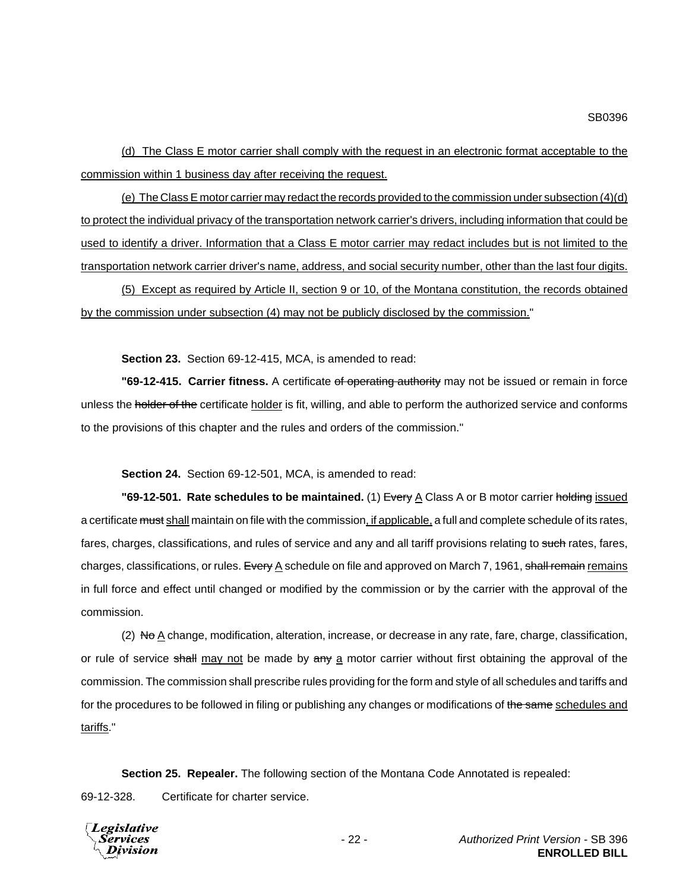(d) The Class E motor carrier shall comply with the request in an electronic format acceptable to the commission within 1 business day after receiving the request.

(e) The Class E motor carrier may redact the records provided to the commission under subsection (4)(d) to protect the individual privacy of the transportation network carrier's drivers, including information that could be used to identify a driver. Information that a Class E motor carrier may redact includes but is not limited to the transportation network carrier driver's name, address, and social security number, other than the last four digits.

(5) Except as required by Article II, section 9 or 10, of the Montana constitution, the records obtained by the commission under subsection (4) may not be publicly disclosed by the commission."

**Section 23.** Section 69-12-415, MCA, is amended to read:

**"69-12-415. Carrier fitness.** A certificate of operating authority may not be issued or remain in force unless the holder of the certificate holder is fit, willing, and able to perform the authorized service and conforms to the provisions of this chapter and the rules and orders of the commission."

**Section 24.** Section 69-12-501, MCA, is amended to read:

**"69-12-501. Rate schedules to be maintained.** (1) Every A Class A or B motor carrier holding issued a certificate must shall maintain on file with the commission, if applicable, a full and complete schedule of its rates, fares, charges, classifications, and rules of service and any and all tariff provisions relating to such rates, fares, charges, classifications, or rules. Every A schedule on file and approved on March 7, 1961, shall remain remains in full force and effect until changed or modified by the commission or by the carrier with the approval of the commission.

(2)  $N\Theta\Delta$  change, modification, alteration, increase, or decrease in any rate, fare, charge, classification, or rule of service shall may not be made by any a motor carrier without first obtaining the approval of the commission. The commission shall prescribe rules providing for the form and style of all schedules and tariffs and for the procedures to be followed in filing or publishing any changes or modifications of the same schedules and tariffs."

**Section 25. Repealer.** The following section of the Montana Code Annotated is repealed:

69-12-328. Certificate for charter service.

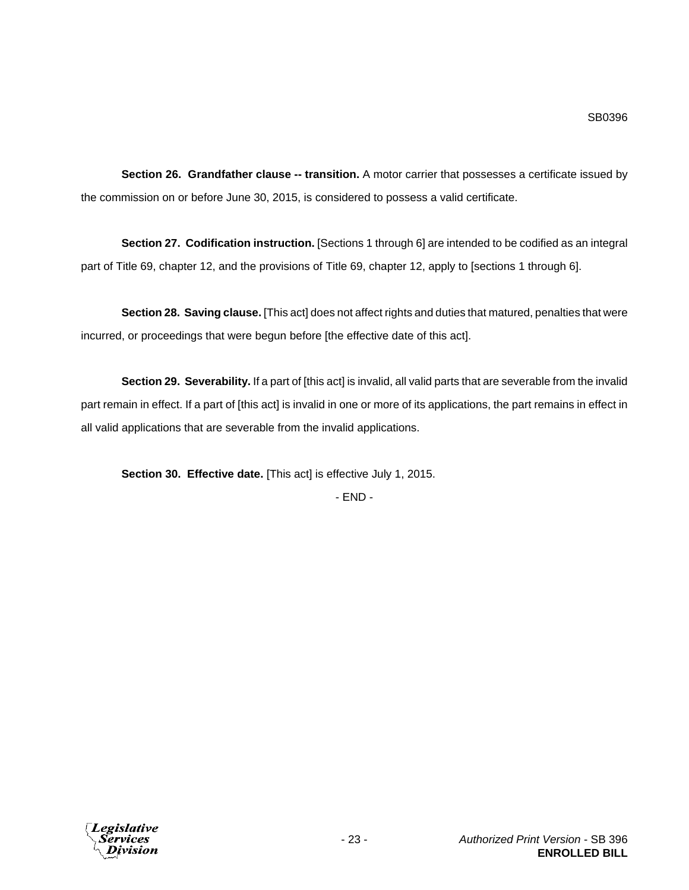**Section 26. Grandfather clause -- transition.** A motor carrier that possesses a certificate issued by the commission on or before June 30, 2015, is considered to possess a valid certificate.

**Section 27. Codification instruction.** [Sections 1 through 6] are intended to be codified as an integral part of Title 69, chapter 12, and the provisions of Title 69, chapter 12, apply to [sections 1 through 6].

**Section 28. Saving clause.** [This act] does not affect rights and duties that matured, penalties that were incurred, or proceedings that were begun before [the effective date of this act].

**Section 29. Severability.** If a part of [this act] is invalid, all valid parts that are severable from the invalid part remain in effect. If a part of [this act] is invalid in one or more of its applications, the part remains in effect in all valid applications that are severable from the invalid applications.

**Section 30. Effective date.** [This act] is effective July 1, 2015.

- END -

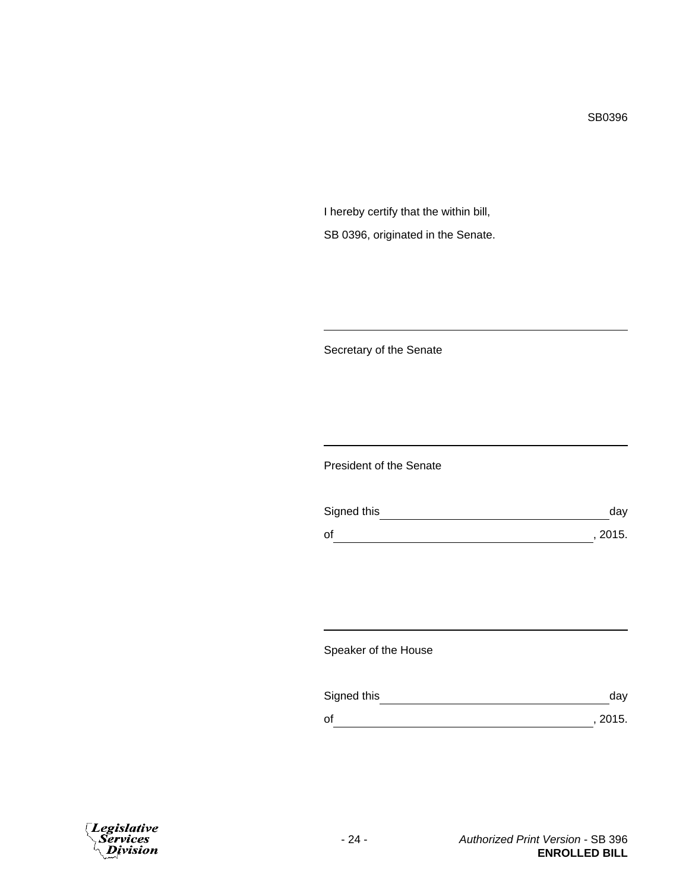SB0396

I hereby certify that the within bill, SB 0396, originated in the Senate.

Secretary of the Senate

President of the Senate

| Signed this | dav     |
|-------------|---------|
| of          | , 2015. |

Speaker of the House

| Signed this | dav     |
|-------------|---------|
| οf          | , 2015. |